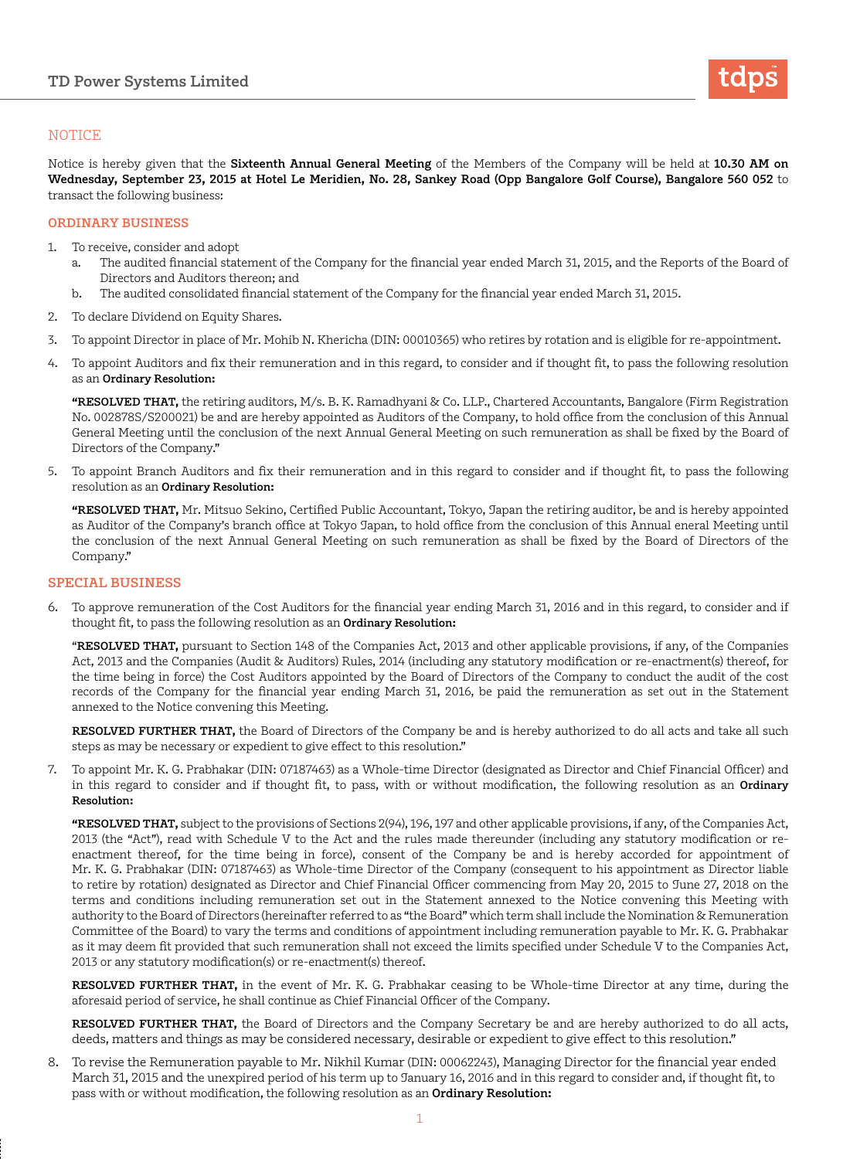

## **NOTICE**

Notice is hereby given that the **Sixteenth Annual General Meeting** of the Members of the Company will be held at **10.30 AM on Wednesday, September 23, 2015 at Hotel Le Meridien, No. 28, Sankey Road (Opp Bangalore Golf Course), Bangalore 560 052** to transact the following business:

### **ORDINARY BUSINESS**

- 1. To receive, consider and adopt
	- a. The audited financial statement of the Company for the financial year ended March 31, 2015, and the Reports of the Board of Directors and Auditors thereon; and
	- b. The audited consolidated financial statement of the Company for the financial year ended March 31, 2015.
- 2. To declare Dividend on Equity Shares.
- 3. To appoint Director in place of Mr. Mohib N. Khericha (DIN: 00010365) who retires by rotation and is eligible for re-appointment.
- 4. To appoint Auditors and fix their remuneration and in this regard, to consider and if thought fit, to pass the following resolution as an **Ordinary Resolution:**

**"RESOLVED THAT,** the retiring auditors, M/s. B. K. Ramadhyani & Co. LLP., Chartered Accountants, Bangalore (Firm Registration No. 002878S/S200021) be and are hereby appointed as Auditors of the Company, to hold office from the conclusion of this Annual General Meeting until the conclusion of the next Annual General Meeting on such remuneration as shall be fixed by the Board of Directors of the Company."

5. To appoint Branch Auditors and fix their remuneration and in this regard to consider and if thought fit, to pass the following resolution as an **Ordinary Resolution:**

**"RESOLVED THAT,** Mr. Mitsuo Sekino, Certified Public Accountant, Tokyo, Japan the retiring auditor, be and is hereby appointed as Auditor of the Company's branch office at Tokyo Japan, to hold office from the conclusion of this Annual eneral Meeting until the conclusion of the next Annual General Meeting on such remuneration as shall be fixed by the Board of Directors of the Company."

### **SPECIAL BUSINESS**

6. To approve remuneration of the Cost Auditors for the financial year ending March 31, 2016 and in this regard, to consider and if thought fit, to pass the following resolution as an **Ordinary Resolution:**

"**RESOLVED THAT,** pursuant to Section 148 of the Companies Act, 2013 and other applicable provisions, if any, of the Companies Act, 2013 and the Companies (Audit & Auditors) Rules, 2014 (including any statutory modification or re-enactment(s) thereof, for the time being in force) the Cost Auditors appointed by the Board of Directors of the Company to conduct the audit of the cost records of the Company for the financial year ending March 31, 2016, be paid the remuneration as set out in the Statement annexed to the Notice convening this Meeting.

**RESOLVED FURTHER THAT,** the Board of Directors of the Company be and is hereby authorized to do all acts and take all such steps as may be necessary or expedient to give effect to this resolution."

7. To appoint Mr. K. G. Prabhakar (DIN: 07187463) as a Whole-time Director (designated as Director and Chief Financial Officer) and in this regard to consider and if thought fit, to pass, with or without modification, the following resolution as an **Ordinary Resolution:**

**"RESOLVED THAT,** subject to the provisions of Sections 2(94), 196, 197 and other applicable provisions, if any, of the Companies Act, 2013 (the "Act"), read with Schedule V to the Act and the rules made thereunder (including any statutory modification or reenactment thereof, for the time being in force), consent of the Company be and is hereby accorded for appointment of Mr. K. G. Prabhakar (DIN: 07187463) as Whole-time Director of the Company (consequent to his appointment as Director liable to retire by rotation) designated as Director and Chief Financial Officer commencing from May 20, 2015 to June 27, 2018 on the terms and conditions including remuneration set out in the Statement annexed to the Notice convening this Meeting with authority to the Board of Directors (hereinafter referred to as "the Board" which term shall include the Nomination & Remuneration Committee of the Board) to vary the terms and conditions of appointment including remuneration payable to Mr. K. G. Prabhakar as it may deem fit provided that such remuneration shall not exceed the limits specified under Schedule V to the Companies Act, 2013 or any statutory modification(s) or re-enactment(s) thereof.

**RESOLVED FURTHER THAT,** in the event of Mr. K. G. Prabhakar ceasing to be Whole-time Director at any time, during the aforesaid period of service, he shall continue as Chief Financial Officer of the Company.

**RESOLVED FURTHER THAT,** the Board of Directors and the Company Secretary be and are hereby authorized to do all acts, deeds, matters and things as may be considered necessary, desirable or expedient to give effect to this resolution."

8. To revise the Remuneration payable to Mr. Nikhil Kumar (DIN: 00062243), Managing Director for the financial year ended March 31, 2015 and the unexpired period of his term up to January 16, 2016 and in this regard to consider and, if thought fit, to pass with or without modification, the following resolution as an **Ordinary Resolution:**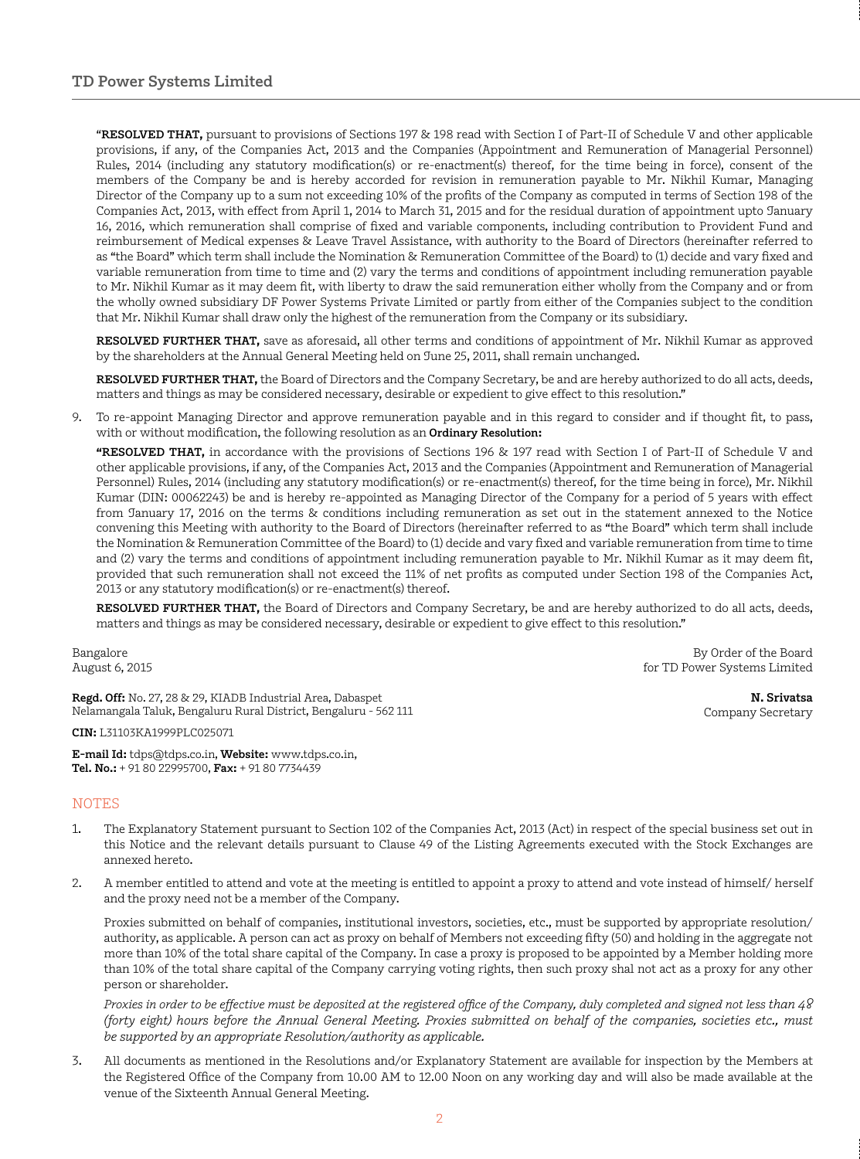"**RESOLVED THAT,** pursuant to provisions of Sections 197 & 198 read with Section I of Part-II of Schedule V and other applicable provisions, if any, of the Companies Act, 2013 and the Companies (Appointment and Remuneration of Managerial Personnel) Rules, 2014 (including any statutory modification(s) or re-enactment(s) thereof, for the time being in force), consent of the members of the Company be and is hereby accorded for revision in remuneration payable to Mr. Nikhil Kumar, Managing Director of the Company up to a sum not exceeding 10% of the profits of the Company as computed in terms of Section 198 of the Companies Act, 2013, with effect from April 1, 2014 to March 31, 2015 and for the residual duration of appointment upto January 16, 2016, which remuneration shall comprise of fixed and variable components, including contribution to Provident Fund and reimbursement of Medical expenses & Leave Travel Assistance, with authority to the Board of Directors (hereinafter referred to as "the Board" which term shall include the Nomination & Remuneration Committee of the Board) to (1) decide and vary fixed and variable remuneration from time to time and (2) vary the terms and conditions of appointment including remuneration payable to Mr. Nikhil Kumar as it may deem fit, with liberty to draw the said remuneration either wholly from the Company and or from the wholly owned subsidiary DF Power Systems Private Limited or partly from either of the Companies subject to the condition that Mr. Nikhil Kumar shall draw only the highest of the remuneration from the Company or its subsidiary.

**RESOLVED FURTHER THAT,** save as aforesaid, all other terms and conditions of appointment of Mr. Nikhil Kumar as approved by the shareholders at the Annual General Meeting held on June 25, 2011, shall remain unchanged.

**RESOLVED FURTHER THAT,** the Board of Directors and the Company Secretary, be and are hereby authorized to do all acts, deeds, matters and things as may be considered necessary, desirable or expedient to give effect to this resolution."

9. To re-appoint Managing Director and approve remuneration payable and in this regard to consider and if thought fit, to pass, with or without modification, the following resolution as an **Ordinary Resolution:**

**"RESOLVED THAT,** in accordance with the provisions of Sections 196 & 197 read with Section I of Part-II of Schedule V and other applicable provisions, if any, of the Companies Act, 2013 and the Companies (Appointment and Remuneration of Managerial Personnel) Rules, 2014 (including any statutory modification(s) or re-enactment(s) thereof, for the time being in force), Mr. Nikhil Kumar (DIN: 00062243) be and is hereby re-appointed as Managing Director of the Company for a period of 5 years with effect from January 17, 2016 on the terms & conditions including remuneration as set out in the statement annexed to the Notice convening this Meeting with authority to the Board of Directors (hereinafter referred to as "the Board" which term shall include the Nomination & Remuneration Committee of the Board) to (1) decide and vary fixed and variable remuneration from time to time and (2) vary the terms and conditions of appointment including remuneration payable to Mr. Nikhil Kumar as it may deem fit, provided that such remuneration shall not exceed the 11% of net profits as computed under Section 198 of the Companies Act, 2013 or any statutory modification(s) or re-enactment(s) thereof.

**RESOLVED FURTHER THAT,** the Board of Directors and Company Secretary, be and are hereby authorized to do all acts, deeds, matters and things as may be considered necessary, desirable or expedient to give effect to this resolution."

Bangalore August 6, 2015

**Regd. Off:** No. 27, 28 & 29, KIADB Industrial Area, Dabaspet Nelamangala Taluk, Bengaluru Rural District, Bengaluru - 562 111

**CIN:** L31103KA1999PLC025071

**E-mail Id:** tdps@tdps.co.in, **Website:** www.tdps.co.in, **Tel. No.:** + 91 80 22995700, **Fax:** + 91 80 7734439

## NOTES

- 1. The Explanatory Statement pursuant to Section 102 of the Companies Act, 2013 (Act) in respect of the special business set out in this Notice and the relevant details pursuant to Clause 49 of the Listing Agreements executed with the Stock Exchanges are annexed hereto.
- 2. A member entitled to attend and vote at the meeting is entitled to appoint a proxy to attend and vote instead of himself/ herself and the proxy need not be a member of the Company.

Proxies submitted on behalf of companies, institutional investors, societies, etc., must be supported by appropriate resolution/ authority, as applicable. A person can act as proxy on behalf of Members not exceeding fifty (50) and holding in the aggregate not more than 10% of the total share capital of the Company. In case a proxy is proposed to be appointed by a Member holding more than 10% of the total share capital of the Company carrying voting rights, then such proxy shal not act as a proxy for any other person or shareholder.

*Proxies in order to be effective must be deposited at the registered office of the Company, duly completed and signed not less than 48 (forty eight) hours before the Annual General Meeting. Proxies submitted on behalf of the companies, societies etc., must be supported by an appropriate Resolution/authority as applicable.*

3. All documents as mentioned in the Resolutions and/or Explanatory Statement are available for inspection by the Members at the Registered Office of the Company from 10.00 AM to 12.00 Noon on any working day and will also be made available at the venue of the Sixteenth Annual General Meeting.

By Order of the Board for TD Power Systems Limited

> **N. Srivatsa** Company Secretary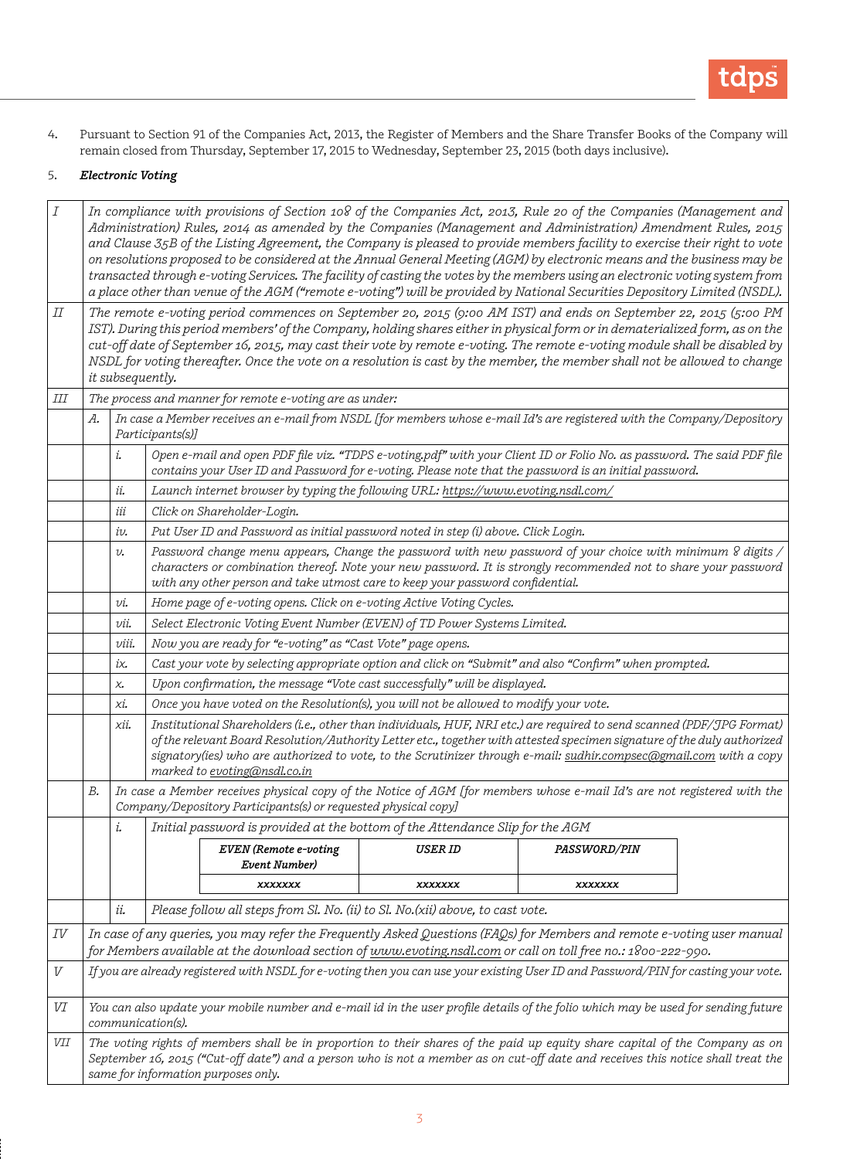

4. Pursuant to Section 91 of the Companies Act, 2013, the Register of Members and the Share Transfer Books of the Company will remain closed from Thursday, September 17, 2015 to Wednesday, September 23, 2015 (both days inclusive).

## 5. *Electronic Voting*

| Ι  | In compliance with provisions of Section 108 of the Companies Act, 2013, Rule 20 of the Companies (Management and<br>Administration) Rules, 2014 as amended by the Companies (Management and Administration) Amendment Rules, 2015<br>and Clause 35B of the Listing Agreement, the Company is pleased to provide members facility to exercise their right to vote<br>on resolutions proposed to be considered at the Annual General Meeting (AGM) by electronic means and the business may be<br>transacted through e-voting Services. The facility of casting the votes by the members using an electronic voting system from<br>a place other than venue of the AGM ("remote e-voting") will be provided by National Securities Depository Limited (NSDL). |                                                                                                                                                                                                                                                                                                                                  |                                                                                                                                                                                                                                  |                                                                                                        |                                                                                 |                     |  |  |
|----|--------------------------------------------------------------------------------------------------------------------------------------------------------------------------------------------------------------------------------------------------------------------------------------------------------------------------------------------------------------------------------------------------------------------------------------------------------------------------------------------------------------------------------------------------------------------------------------------------------------------------------------------------------------------------------------------------------------------------------------------------------------|----------------------------------------------------------------------------------------------------------------------------------------------------------------------------------------------------------------------------------------------------------------------------------------------------------------------------------|----------------------------------------------------------------------------------------------------------------------------------------------------------------------------------------------------------------------------------|--------------------------------------------------------------------------------------------------------|---------------------------------------------------------------------------------|---------------------|--|--|
| IΙ | The remote e-voting period commences on September 20, 2015 (9:00 AM IST) and ends on September 22, 2015 (5:00 PM<br>IST). During this period members' of the Company, holding shares either in physical form or in dematerialized form, as on the<br>cut-off date of September 16, 2015, may cast their vote by remote e-voting. The remote e-voting module shall be disabled by<br>NSDL for voting thereafter. Once the vote on a resolution is cast by the member, the member shall not be allowed to change<br>it subsequently.                                                                                                                                                                                                                           |                                                                                                                                                                                                                                                                                                                                  |                                                                                                                                                                                                                                  |                                                                                                        |                                                                                 |                     |  |  |
| Ш  | The process and manner for remote e-voting are as under:                                                                                                                                                                                                                                                                                                                                                                                                                                                                                                                                                                                                                                                                                                     |                                                                                                                                                                                                                                                                                                                                  |                                                                                                                                                                                                                                  |                                                                                                        |                                                                                 |                     |  |  |
|    | А.                                                                                                                                                                                                                                                                                                                                                                                                                                                                                                                                                                                                                                                                                                                                                           |                                                                                                                                                                                                                                                                                                                                  | In case a Member receives an e-mail from NSDL [for members whose e-mail Id's are registered with the Company/Depository<br>Participants(s)]                                                                                      |                                                                                                        |                                                                                 |                     |  |  |
|    |                                                                                                                                                                                                                                                                                                                                                                                                                                                                                                                                                                                                                                                                                                                                                              | i.                                                                                                                                                                                                                                                                                                                               | Open e-mail and open PDF file viz. "TDPS e-voting.pdf" with your Client ID or Folio No. as password. The said PDF file<br>contains your User ID and Password for e-voting. Please note that the password is an initial password. |                                                                                                        |                                                                                 |                     |  |  |
|    |                                                                                                                                                                                                                                                                                                                                                                                                                                                                                                                                                                                                                                                                                                                                                              | ii.                                                                                                                                                                                                                                                                                                                              | Launch internet browser by typing the following URL: https://www.evoting.nsdl.com/                                                                                                                                               |                                                                                                        |                                                                                 |                     |  |  |
|    |                                                                                                                                                                                                                                                                                                                                                                                                                                                                                                                                                                                                                                                                                                                                                              | iii                                                                                                                                                                                                                                                                                                                              | Click on Shareholder-Login.                                                                                                                                                                                                      |                                                                                                        |                                                                                 |                     |  |  |
|    |                                                                                                                                                                                                                                                                                                                                                                                                                                                                                                                                                                                                                                                                                                                                                              | iv.                                                                                                                                                                                                                                                                                                                              | Put User ID and Password as initial password noted in step (i) above. Click Login.                                                                                                                                               |                                                                                                        |                                                                                 |                     |  |  |
|    |                                                                                                                                                                                                                                                                                                                                                                                                                                                                                                                                                                                                                                                                                                                                                              | Password change menu appears, Change the password with new password of your choice with minimum 8 digits /<br>$\upsilon$ .<br>characters or combination thereof. Note your new password. It is strongly recommended not to share your password<br>with any other person and take utmost care to keep your password confidential. |                                                                                                                                                                                                                                  |                                                                                                        |                                                                                 |                     |  |  |
|    |                                                                                                                                                                                                                                                                                                                                                                                                                                                                                                                                                                                                                                                                                                                                                              | υi.                                                                                                                                                                                                                                                                                                                              | Home page of e-voting opens. Click on e-voting Active Voting Cycles.                                                                                                                                                             |                                                                                                        |                                                                                 |                     |  |  |
|    |                                                                                                                                                                                                                                                                                                                                                                                                                                                                                                                                                                                                                                                                                                                                                              | υü.                                                                                                                                                                                                                                                                                                                              | Select Electronic Voting Event Number (EVEN) of TD Power Systems Limited.                                                                                                                                                        |                                                                                                        |                                                                                 |                     |  |  |
|    |                                                                                                                                                                                                                                                                                                                                                                                                                                                                                                                                                                                                                                                                                                                                                              | viii.                                                                                                                                                                                                                                                                                                                            | Now you are ready for "e-voting" as "Cast Vote" page opens.                                                                                                                                                                      |                                                                                                        |                                                                                 |                     |  |  |
|    |                                                                                                                                                                                                                                                                                                                                                                                                                                                                                                                                                                                                                                                                                                                                                              | iχ.                                                                                                                                                                                                                                                                                                                              |                                                                                                                                                                                                                                  | Cast your vote by selecting appropriate option and click on "Submit" and also "Confirm" when prompted. |                                                                                 |                     |  |  |
|    |                                                                                                                                                                                                                                                                                                                                                                                                                                                                                                                                                                                                                                                                                                                                                              | χ,                                                                                                                                                                                                                                                                                                                               | Upon confirmation, the message "Vote cast successfully" will be displayed.                                                                                                                                                       |                                                                                                        |                                                                                 |                     |  |  |
|    |                                                                                                                                                                                                                                                                                                                                                                                                                                                                                                                                                                                                                                                                                                                                                              | xi.                                                                                                                                                                                                                                                                                                                              |                                                                                                                                                                                                                                  | Once you have voted on the Resolution(s), you will not be allowed to modify your vote.                 |                                                                                 |                     |  |  |
|    | Institutional Shareholders (i.e., other than individuals, HUF, NRI etc.) are required to send scanned (PDF/JPG Format)<br>хii.<br>of the relevant Board Resolution/Authority Letter etc., together with attested specimen signature of the duly authorized<br>signatory(ies) who are authorized to vote, to the Scrutinizer through e-mail: sudhir.compsec@gmail.com with a copy<br>marked to evoting@nsdl.co.in                                                                                                                                                                                                                                                                                                                                             |                                                                                                                                                                                                                                                                                                                                  |                                                                                                                                                                                                                                  |                                                                                                        |                                                                                 |                     |  |  |
|    | In case a Member receives physical copy of the Notice of AGM [for members whose e-mail Id's are not registered with the<br>В.<br>Company/Depository Participants(s) or requested physical copy]                                                                                                                                                                                                                                                                                                                                                                                                                                                                                                                                                              |                                                                                                                                                                                                                                                                                                                                  |                                                                                                                                                                                                                                  |                                                                                                        |                                                                                 |                     |  |  |
|    |                                                                                                                                                                                                                                                                                                                                                                                                                                                                                                                                                                                                                                                                                                                                                              | i.                                                                                                                                                                                                                                                                                                                               |                                                                                                                                                                                                                                  |                                                                                                        | Initial password is provided at the bottom of the Attendance Slip for the AGM   |                     |  |  |
|    |                                                                                                                                                                                                                                                                                                                                                                                                                                                                                                                                                                                                                                                                                                                                                              |                                                                                                                                                                                                                                                                                                                                  |                                                                                                                                                                                                                                  | EVEN (Remote e-voting<br>Event Number)                                                                 | USER ID                                                                         | <i>PASSWORD/PIN</i> |  |  |
|    |                                                                                                                                                                                                                                                                                                                                                                                                                                                                                                                                                                                                                                                                                                                                                              |                                                                                                                                                                                                                                                                                                                                  |                                                                                                                                                                                                                                  | XXXXXXX                                                                                                | XXXXXXX                                                                         | XXXXXXX             |  |  |
|    |                                                                                                                                                                                                                                                                                                                                                                                                                                                                                                                                                                                                                                                                                                                                                              | ii.                                                                                                                                                                                                                                                                                                                              |                                                                                                                                                                                                                                  |                                                                                                        | Please follow all steps from Sl. No. (ii) to Sl. No. (xii) above, to cast vote. |                     |  |  |
| ΙV | In case of any queries, you may refer the Frequently Asked Questions (FAQs) for Members and remote e-voting user manual<br>for Members available at the download section of www.evoting.nsdl.com or call on toll free no.: 1800-222-990.                                                                                                                                                                                                                                                                                                                                                                                                                                                                                                                     |                                                                                                                                                                                                                                                                                                                                  |                                                                                                                                                                                                                                  |                                                                                                        |                                                                                 |                     |  |  |
| V  | If you are already registered with NSDL for e-voting then you can use your existing User ID and Password/PIN for casting your vote.                                                                                                                                                                                                                                                                                                                                                                                                                                                                                                                                                                                                                          |                                                                                                                                                                                                                                                                                                                                  |                                                                                                                                                                                                                                  |                                                                                                        |                                                                                 |                     |  |  |
| VI | You can also update your mobile number and e-mail id in the user profile details of the folio which may be used for sending future<br>communication(s).                                                                                                                                                                                                                                                                                                                                                                                                                                                                                                                                                                                                      |                                                                                                                                                                                                                                                                                                                                  |                                                                                                                                                                                                                                  |                                                                                                        |                                                                                 |                     |  |  |
| VЦ | The voting rights of members shall be in proportion to their shares of the paid up equity share capital of the Company as on<br>September 16, 2015 ("Cut-off date") and a person who is not a member as on cut-off date and receives this notice shall treat the<br>same for information purposes only.                                                                                                                                                                                                                                                                                                                                                                                                                                                      |                                                                                                                                                                                                                                                                                                                                  |                                                                                                                                                                                                                                  |                                                                                                        |                                                                                 |                     |  |  |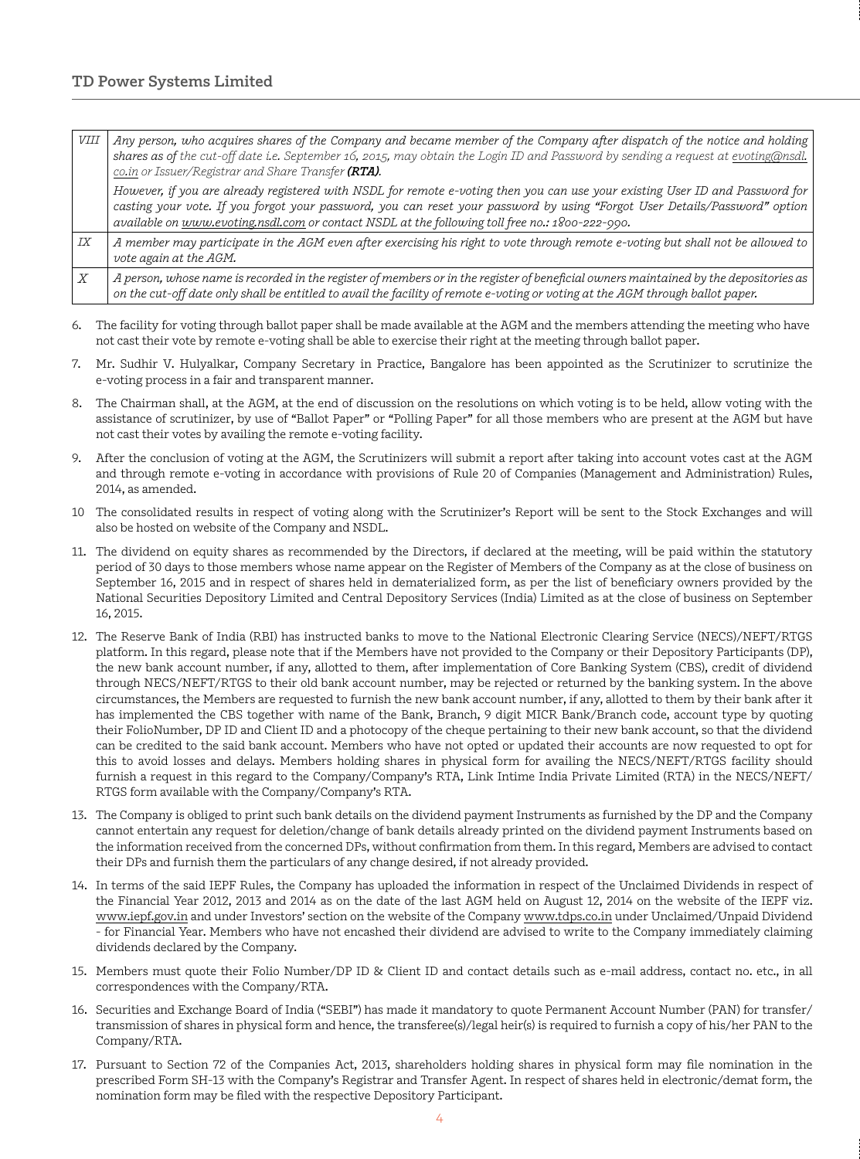# **TD Power Systems Limited**

| VIII  | Any person, who acquires shares of the Company and became member of the Company after dispatch of the notice and holding<br>shares as of the cut-off date i.e. September 16, 2015, may obtain the Login ID and Password by sending a request at evoting@nsdl.<br>co.in or Issuer/Registrar and Share Transfer (RTA).                                          |  |
|-------|---------------------------------------------------------------------------------------------------------------------------------------------------------------------------------------------------------------------------------------------------------------------------------------------------------------------------------------------------------------|--|
|       | However, if you are already registered with NSDL for remote e-voting then you can use your existing User ID and Password for<br>casting your vote. If you forgot your password, you can reset your password by using "Forgot User Details/Password" option<br>available on www.evoting.nsdl.com or contact NSDL at the following toll free no.: 1800-222-990. |  |
| IX    | A member may participate in the AGM even after exercising his right to vote through remote e-voting but shall not be allowed to<br>vote again at the AGM.                                                                                                                                                                                                     |  |
| . $X$ | A person, whose name is recorded in the register of members or in the register of beneficial owners maintained by the depositories as<br>on the cut-off date only shall be entitled to avail the facility of remote e-voting or voting at the AGM through ballot paper.                                                                                       |  |

- 6. The facility for voting through ballot paper shall be made available at the AGM and the members attending the meeting who have not cast their vote by remote e-voting shall be able to exercise their right at the meeting through ballot paper.
- 7. Mr. Sudhir V. Hulyalkar, Company Secretary in Practice, Bangalore has been appointed as the Scrutinizer to scrutinize the e-voting process in a fair and transparent manner.
- 8. The Chairman shall, at the AGM, at the end of discussion on the resolutions on which voting is to be held, allow voting with the assistance of scrutinizer, by use of "Ballot Paper" or "Polling Paper" for all those members who are present at the AGM but have not cast their votes by availing the remote e-voting facility.
- 9. After the conclusion of voting at the AGM, the Scrutinizers will submit a report after taking into account votes cast at the AGM and through remote e-voting in accordance with provisions of Rule 20 of Companies (Management and Administration) Rules, 2014, as amended.
- 10 The consolidated results in respect of voting along with the Scrutinizer's Report will be sent to the Stock Exchanges and will also be hosted on website of the Company and NSDL.
- 11. The dividend on equity shares as recommended by the Directors, if declared at the meeting, will be paid within the statutory period of 30 days to those members whose name appear on the Register of Members of the Company as at the close of business on September 16, 2015 and in respect of shares held in dematerialized form, as per the list of beneficiary owners provided by the National Securities Depository Limited and Central Depository Services (India) Limited as at the close of business on September 16, 2015.
- 12. The Reserve Bank of India (RBI) has instructed banks to move to the National Electronic Clearing Service (NECS)/NEFT/RTGS platform. In this regard, please note that if the Members have not provided to the Company or their Depository Participants (DP), the new bank account number, if any, allotted to them, after implementation of Core Banking System (CBS), credit of dividend through NECS/NEFT/RTGS to their old bank account number, may be rejected or returned by the banking system. In the above circumstances, the Members are requested to furnish the new bank account number, if any, allotted to them by their bank after it has implemented the CBS together with name of the Bank, Branch, 9 digit MICR Bank/Branch code, account type by quoting their FolioNumber, DP ID and Client ID and a photocopy of the cheque pertaining to their new bank account, so that the dividend can be credited to the said bank account. Members who have not opted or updated their accounts are now requested to opt for this to avoid losses and delays. Members holding shares in physical form for availing the NECS/NEFT/RTGS facility should furnish a request in this regard to the Company/Company's RTA, Link Intime India Private Limited (RTA) in the NECS/NEFT/ RTGS form available with the Company/Company's RTA.
- 13. The Company is obliged to print such bank details on the dividend payment Instruments as furnished by the DP and the Company cannot entertain any request for deletion/change of bank details already printed on the dividend payment Instruments based on the information received from the concerned DPs, without confirmation from them. In this regard, Members are advised to contact their DPs and furnish them the particulars of any change desired, if not already provided.
- 14. In terms of the said IEPF Rules, the Company has uploaded the information in respect of the Unclaimed Dividends in respect of the Financial Year 2012, 2013 and 2014 as on the date of the last AGM held on August 12, 2014 on the website of the IEPF viz. www.iepf.gov.in and under Investors' section on the website of the Company www.tdps.co.in under Unclaimed/Unpaid Dividend - for Financial Year. Members who have not encashed their dividend are advised to write to the Company immediately claiming dividends declared by the Company.
- 15. Members must quote their Folio Number/DP ID & Client ID and contact details such as e-mail address, contact no. etc., in all correspondences with the Company/RTA.
- 16. Securities and Exchange Board of India ("SEBI") has made it mandatory to quote Permanent Account Number (PAN) for transfer/ transmission of shares in physical form and hence, the transferee(s)/legal heir(s) is required to furnish a copy of his/her PAN to the Company/RTA.
- 17. Pursuant to Section 72 of the Companies Act, 2013, shareholders holding shares in physical form may file nomination in the prescribed Form SH-13 with the Company's Registrar and Transfer Agent. In respect of shares held in electronic/demat form, the nomination form may be filed with the respective Depository Participant.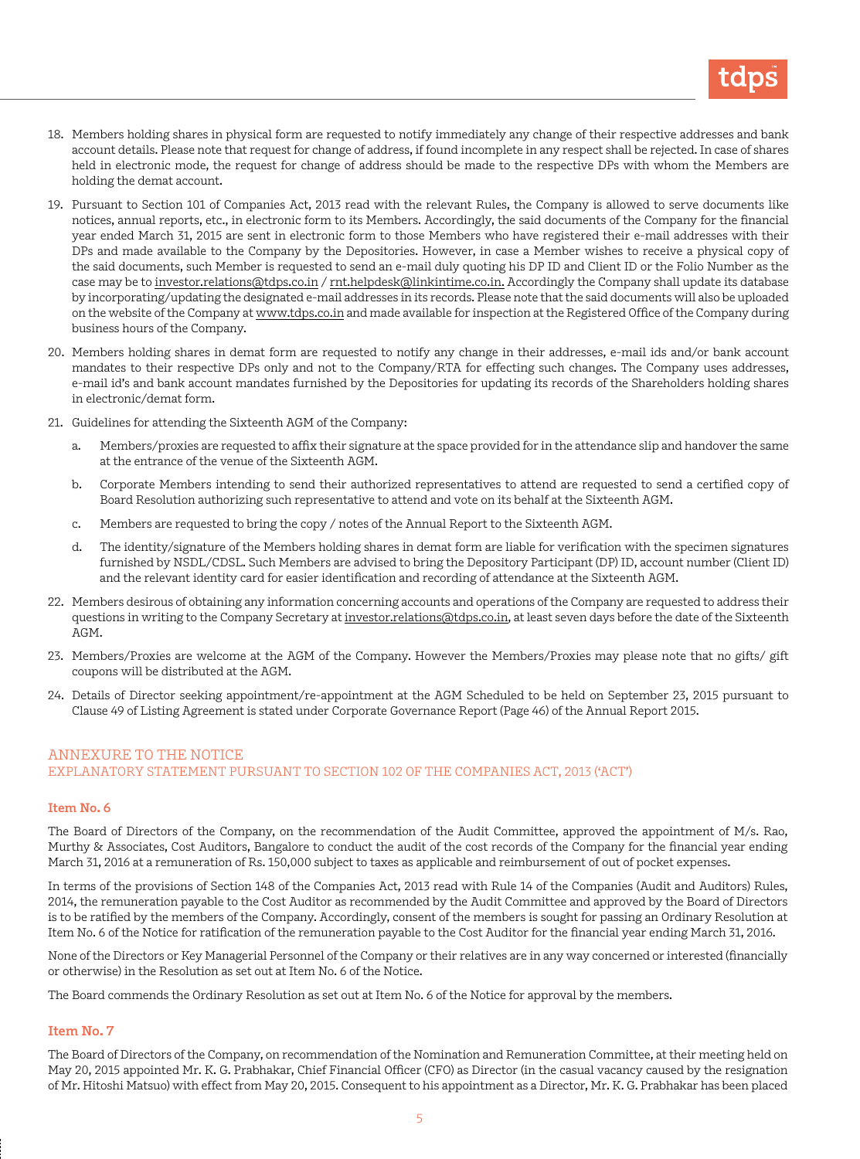

- 18. Members holding shares in physical form are requested to notify immediately any change of their respective addresses and bank account details. Please note that request for change of address, if found incomplete in any respect shall be rejected. In case of shares held in electronic mode, the request for change of address should be made to the respective DPs with whom the Members are holding the demat account.
- 19. Pursuant to Section 101 of Companies Act, 2013 read with the relevant Rules, the Company is allowed to serve documents like notices, annual reports, etc., in electronic form to its Members. Accordingly, the said documents of the Company for the financial year ended March 31, 2015 are sent in electronic form to those Members who have registered their e-mail addresses with their DPs and made available to the Company by the Depositories. However, in case a Member wishes to receive a physical copy of the said documents, such Member is requested to send an e-mail duly quoting his DP ID and Client ID or the Folio Number as the case may be to investor.relations@tdps.co.in / rnt.helpdesk@linkintime.co.in. Accordingly the Company shall update its database by incorporating/updating the designated e-mail addresses in its records. Please note that the said documents will also be uploaded on the website of the Company at www.tdps.co.in and made available for inspection at the Registered Office of the Company during business hours of the Company.
- 20. Members holding shares in demat form are requested to notify any change in their addresses, e-mail ids and/or bank account mandates to their respective DPs only and not to the Company/RTA for effecting such changes. The Company uses addresses, e-mail id's and bank account mandates furnished by the Depositories for updating its records of the Shareholders holding shares in electronic/demat form.
- 21. Guidelines for attending the Sixteenth AGM of the Company:
	- a. Members/proxies are requested to affix their signature at the space provided for in the attendance slip and handover the same at the entrance of the venue of the Sixteenth AGM.
	- b. Corporate Members intending to send their authorized representatives to attend are requested to send a certified copy of Board Resolution authorizing such representative to attend and vote on its behalf at the Sixteenth AGM.
	- c. Members are requested to bring the copy / notes of the Annual Report to the Sixteenth AGM.
	- d. The identity/signature of the Members holding shares in demat form are liable for verification with the specimen signatures furnished by NSDL/CDSL. Such Members are advised to bring the Depository Participant (DP) ID, account number (Client ID) and the relevant identity card for easier identification and recording of attendance at the Sixteenth AGM.
- 22. Members desirous of obtaining any information concerning accounts and operations of the Company are requested to address their questions in writing to the Company Secretary at investor.relations@tdps.co.in, at least seven days before the date of the Sixteenth AGM.
- 23. Members/Proxies are welcome at the AGM of the Company. However the Members/Proxies may please note that no gifts/ gift coupons will be distributed at the AGM.
- 24. Details of Director seeking appointment/re-appointment at the AGM Scheduled to be held on September 23, 2015 pursuant to Clause 49 of Listing Agreement is stated under Corporate Governance Report (Page 46) of the Annual Report 2015.

## ANNEXURE TO THE NOTICE EXPLANATORY STATEMENT PURSUANT TO SECTION 102 OF THE COMPANIES ACT, 2013 ('ACT')

#### **Item No. 6**

The Board of Directors of the Company, on the recommendation of the Audit Committee, approved the appointment of M/s. Rao, Murthy & Associates, Cost Auditors, Bangalore to conduct the audit of the cost records of the Company for the financial year ending March 31, 2016 at a remuneration of Rs. 150,000 subject to taxes as applicable and reimbursement of out of pocket expenses.

In terms of the provisions of Section 148 of the Companies Act, 2013 read with Rule 14 of the Companies (Audit and Auditors) Rules, 2014, the remuneration payable to the Cost Auditor as recommended by the Audit Committee and approved by the Board of Directors is to be ratified by the members of the Company. Accordingly, consent of the members is sought for passing an Ordinary Resolution at Item No. 6 of the Notice for ratification of the remuneration payable to the Cost Auditor for the financial year ending March 31, 2016.

None of the Directors or Key Managerial Personnel of the Company or their relatives are in any way concerned or interested (financially or otherwise) in the Resolution as set out at Item No. 6 of the Notice.

The Board commends the Ordinary Resolution as set out at Item No. 6 of the Notice for approval by the members.

## **Item No. 7**

The Board of Directors of the Company, on recommendation of the Nomination and Remuneration Committee, at their meeting held on May 20, 2015 appointed Mr. K. G. Prabhakar, Chief Financial Officer (CFO) as Director (in the casual vacancy caused by the resignation of Mr. Hitoshi Matsuo) with effect from May 20, 2015. Consequent to his appointment as a Director, Mr. K. G. Prabhakar has been placed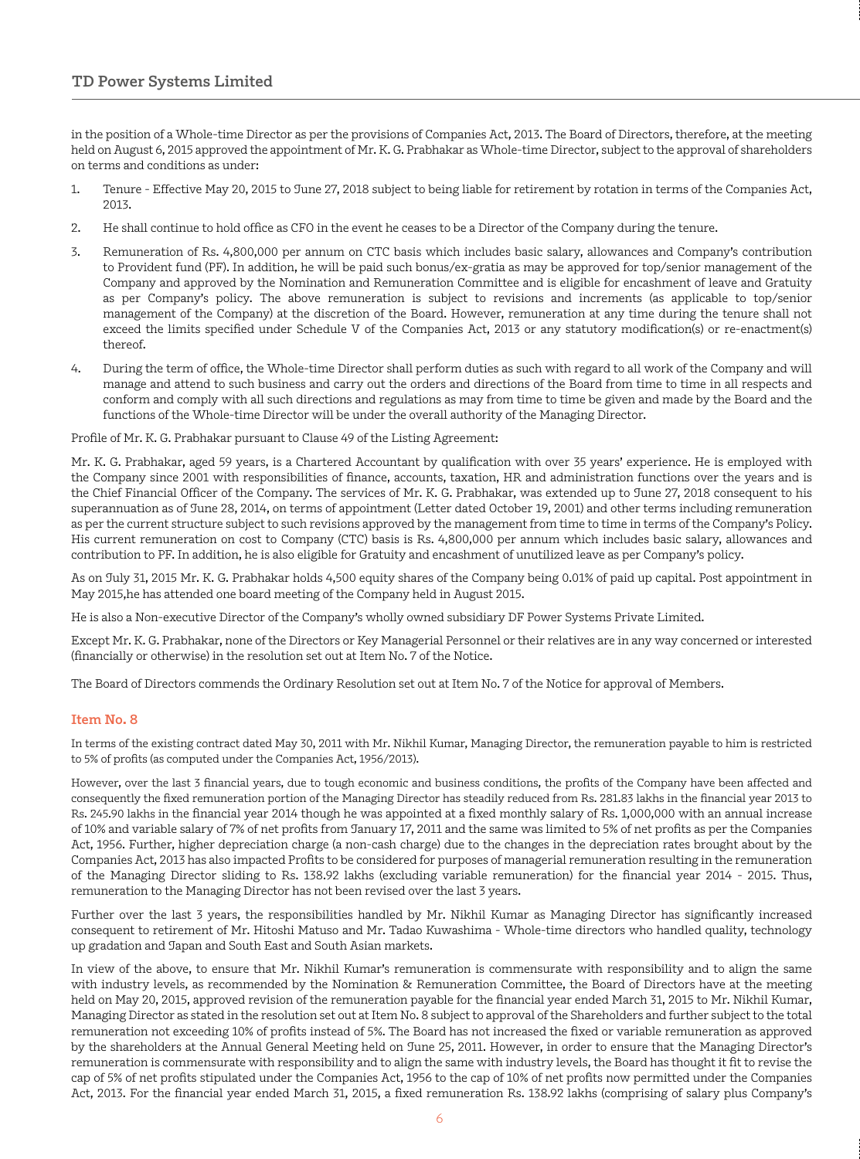in the position of a Whole-time Director as per the provisions of Companies Act, 2013. The Board of Directors, therefore, at the meeting held on August 6, 2015 approved the appointment of Mr. K. G. Prabhakar as Whole-time Director, subject to the approval of shareholders on terms and conditions as under:

- 1. Tenure Effective May 20, 2015 to June 27, 2018 subject to being liable for retirement by rotation in terms of the Companies Act, 2013.
- 2. He shall continue to hold office as CFO in the event he ceases to be a Director of the Company during the tenure.
- 3. Remuneration of Rs. 4,800,000 per annum on CTC basis which includes basic salary, allowances and Company's contribution to Provident fund (PF). In addition, he will be paid such bonus/ex-gratia as may be approved for top/senior management of the Company and approved by the Nomination and Remuneration Committee and is eligible for encashment of leave and Gratuity as per Company's policy. The above remuneration is subject to revisions and increments (as applicable to top/senior management of the Company) at the discretion of the Board. However, remuneration at any time during the tenure shall not exceed the limits specified under Schedule V of the Companies Act, 2013 or any statutory modification(s) or re-enactment(s) thereof.
- 4. During the term of office, the Whole-time Director shall perform duties as such with regard to all work of the Company and will manage and attend to such business and carry out the orders and directions of the Board from time to time in all respects and conform and comply with all such directions and regulations as may from time to time be given and made by the Board and the functions of the Whole-time Director will be under the overall authority of the Managing Director.

Profile of Mr. K. G. Prabhakar pursuant to Clause 49 of the Listing Agreement:

Mr. K. G. Prabhakar, aged 59 years, is a Chartered Accountant by qualification with over 35 years' experience. He is employed with the Company since 2001 with responsibilities of finance, accounts, taxation, HR and administration functions over the years and is the Chief Financial Officer of the Company. The services of Mr. K. G. Prabhakar, was extended up to June 27, 2018 consequent to his superannuation as of June 28, 2014, on terms of appointment (Letter dated October 19, 2001) and other terms including remuneration as per the current structure subject to such revisions approved by the management from time to time in terms of the Company's Policy. His current remuneration on cost to Company (CTC) basis is Rs. 4,800,000 per annum which includes basic salary, allowances and contribution to PF. In addition, he is also eligible for Gratuity and encashment of unutilized leave as per Company's policy.

As on July 31, 2015 Mr. K. G. Prabhakar holds 4,500 equity shares of the Company being 0.01% of paid up capital. Post appointment in May 2015,he has attended one board meeting of the Company held in August 2015.

He is also a Non-executive Director of the Company's wholly owned subsidiary DF Power Systems Private Limited.

Except Mr. K. G. Prabhakar, none of the Directors or Key Managerial Personnel or their relatives are in any way concerned or interested (financially or otherwise) in the resolution set out at Item No. 7 of the Notice.

The Board of Directors commends the Ordinary Resolution set out at Item No. 7 of the Notice for approval of Members.

## **Item No. 8**

In terms of the existing contract dated May 30, 2011 with Mr. Nikhil Kumar, Managing Director, the remuneration payable to him is restricted to 5% of profits (as computed under the Companies Act, 1956/2013).

However, over the last 3 financial years, due to tough economic and business conditions, the profits of the Company have been affected and consequently the fixed remuneration portion of the Managing Director has steadily reduced from Rs. 281.83 lakhs in the financial year 2013 to Rs. 245.90 lakhs in the financial year 2014 though he was appointed at a fixed monthly salary of Rs. 1,000,000 with an annual increase of 10% and variable salary of 7% of net profits from January 17, 2011 and the same was limited to 5% of net profits as per the Companies Act, 1956. Further, higher depreciation charge (a non-cash charge) due to the changes in the depreciation rates brought about by the Companies Act, 2013 has also impacted Profits to be considered for purposes of managerial remuneration resulting in the remuneration of the Managing Director sliding to Rs. 138.92 lakhs (excluding variable remuneration) for the financial year 2014 - 2015. Thus, remuneration to the Managing Director has not been revised over the last 3 years.

Further over the last 3 years, the responsibilities handled by Mr. Nikhil Kumar as Managing Director has significantly increased consequent to retirement of Mr. Hitoshi Matuso and Mr. Tadao Kuwashima - Whole-time directors who handled quality, technology up gradation and Japan and South East and South Asian markets.

In view of the above, to ensure that Mr. Nikhil Kumar's remuneration is commensurate with responsibility and to align the same with industry levels, as recommended by the Nomination & Remuneration Committee, the Board of Directors have at the meeting held on May 20, 2015, approved revision of the remuneration payable for the financial year ended March 31, 2015 to Mr. Nikhil Kumar, Managing Director as stated in the resolution set out at Item No. 8 subject to approval of the Shareholders and further subject to the total remuneration not exceeding 10% of profits instead of 5%. The Board has not increased the fixed or variable remuneration as approved by the shareholders at the Annual General Meeting held on June 25, 2011. However, in order to ensure that the Managing Director's remuneration is commensurate with responsibility and to align the same with industry levels, the Board has thought it fit to revise the cap of 5% of net profits stipulated under the Companies Act, 1956 to the cap of 10% of net profits now permitted under the Companies Act, 2013. For the financial year ended March 31, 2015, a fixed remuneration Rs. 138.92 lakhs (comprising of salary plus Company's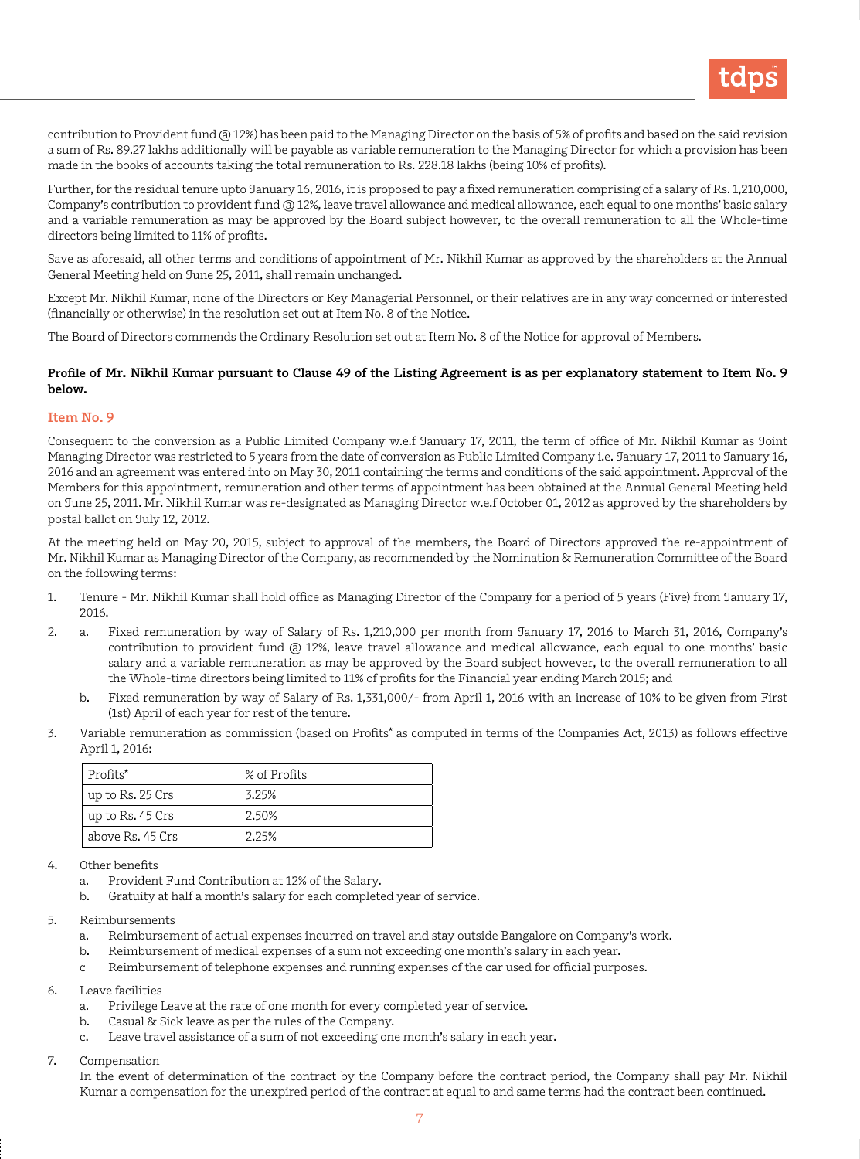

contribution to Provident fund @ 12%) has been paid to the Managing Director on the basis of 5% of profits and based on the said revision a sum of Rs. 89.27 lakhs additionally will be payable as variable remuneration to the Managing Director for which a provision has been made in the books of accounts taking the total remuneration to Rs. 228.18 lakhs (being 10% of profits).

Further, for the residual tenure upto January 16, 2016, it is proposed to pay a fixed remuneration comprising of a salary of Rs. 1,210,000, Company's contribution to provident fund @ 12%, leave travel allowance and medical allowance, each equal to one months' basic salary and a variable remuneration as may be approved by the Board subject however, to the overall remuneration to all the Whole-time directors being limited to 11% of profits.

Save as aforesaid, all other terms and conditions of appointment of Mr. Nikhil Kumar as approved by the shareholders at the Annual General Meeting held on June 25, 2011, shall remain unchanged.

Except Mr. Nikhil Kumar, none of the Directors or Key Managerial Personnel, or their relatives are in any way concerned or interested (financially or otherwise) in the resolution set out at Item No. 8 of the Notice.

The Board of Directors commends the Ordinary Resolution set out at Item No. 8 of the Notice for approval of Members.

## **Profile of Mr. Nikhil Kumar pursuant to Clause 49 of the Listing Agreement is as per explanatory statement to Item No. 9 below.**

#### **Item No. 9**

Consequent to the conversion as a Public Limited Company w.e.f January 17, 2011, the term of office of Mr. Nikhil Kumar as Joint Managing Director was restricted to 5 years from the date of conversion as Public Limited Company i.e. January 17, 2011 to January 16, 2016 and an agreement was entered into on May 30, 2011 containing the terms and conditions of the said appointment. Approval of the Members for this appointment, remuneration and other terms of appointment has been obtained at the Annual General Meeting held on June 25, 2011. Mr. Nikhil Kumar was re-designated as Managing Director w.e.f October 01, 2012 as approved by the shareholders by postal ballot on July 12, 2012.

At the meeting held on May 20, 2015, subject to approval of the members, the Board of Directors approved the re-appointment of Mr. Nikhil Kumar as Managing Director of the Company, as recommended by the Nomination & Remuneration Committee of the Board on the following terms:

- 1. Tenure Mr. Nikhil Kumar shall hold office as Managing Director of the Company for a period of 5 years (Five) from January 17, 2016.
- 2. a. Fixed remuneration by way of Salary of Rs. 1,210,000 per month from January 17, 2016 to March 31, 2016, Company's contribution to provident fund @ 12%, leave travel allowance and medical allowance, each equal to one months' basic salary and a variable remuneration as may be approved by the Board subject however, to the overall remuneration to all the Whole-time directors being limited to 11% of profits for the Financial year ending March 2015; and
	- b. Fixed remuneration by way of Salary of Rs. 1,331,000/- from April 1, 2016 with an increase of 10% to be given from First (1st) April of each year for rest of the tenure.
- 3. Variable remuneration as commission (based on Profits**\*** as computed in terms of the Companies Act, 2013) as follows effective April 1, 2016:

| Profits*         | % of Profits |
|------------------|--------------|
| up to Rs. 25 Crs | 3.25%        |
| up to Rs. 45 Crs | 2.50%        |
| above Rs. 45 Crs | 2.25%        |

- 4. Other benefits
	- a. Provident Fund Contribution at 12% of the Salary.
	- b. Gratuity at half a month's salary for each completed year of service.
- 5. Reimbursements
	- a. Reimbursement of actual expenses incurred on travel and stay outside Bangalore on Company's work.
	- b. Reimbursement of medical expenses of a sum not exceeding one month's salary in each year.
	- c Reimbursement of telephone expenses and running expenses of the car used for official purposes.
- 6. Leave facilities
	- a. Privilege Leave at the rate of one month for every completed year of service.
	- b. Casual & Sick leave as per the rules of the Company.
	- c. Leave travel assistance of a sum of not exceeding one month's salary in each year.
- 7. Compensation

In the event of determination of the contract by the Company before the contract period, the Company shall pay Mr. Nikhil Kumar a compensation for the unexpired period of the contract at equal to and same terms had the contract been continued.